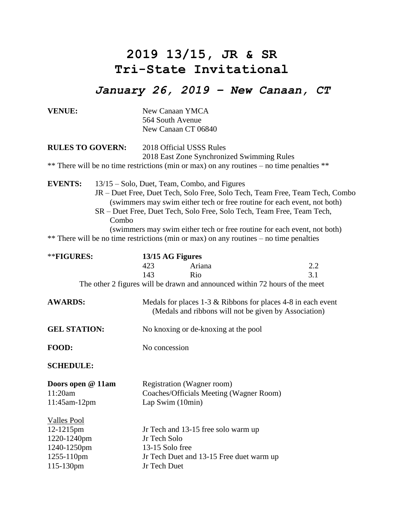## **2019 13/15, JR & SR Tri-State Invitational**

## *January 26, 2019 – New Canaan, CT*

| <b>VENUE:</b>           |  | New Canaan YMCA<br>564 South Avenue<br>New Canaan CT 06840                                                                                                          |                                                                             |     |
|-------------------------|--|---------------------------------------------------------------------------------------------------------------------------------------------------------------------|-----------------------------------------------------------------------------|-----|
| <b>RULES TO GOVERN:</b> |  | 2018 Official USSS Rules<br>2018 East Zone Synchronized Swimming Rules<br>** There will be no time restrictions (min or max) on any routines – no time penalties ** |                                                                             |     |
|                         |  |                                                                                                                                                                     |                                                                             |     |
| **FIGURES:              |  | 13/15 AG Figures                                                                                                                                                    |                                                                             |     |
|                         |  | 423<br>Ariana                                                                                                                                                       |                                                                             | 2.2 |
|                         |  | 143<br>Rio                                                                                                                                                          |                                                                             | 3.1 |
|                         |  |                                                                                                                                                                     | The other 2 figures will be drawn and announced within 72 hours of the meet |     |
| <b>AWARDS:</b>          |  | Medals for places $1-3 \&$ Ribbons for places $4-8$ in each event<br>(Medals and ribbons will not be given by Association)                                          |                                                                             |     |
| <b>GEL STATION:</b>     |  | No knoxing or de-knoxing at the pool                                                                                                                                |                                                                             |     |
| FOOD:                   |  | No concession                                                                                                                                                       |                                                                             |     |
| <b>SCHEDULE:</b>        |  |                                                                                                                                                                     |                                                                             |     |
| Doors open @ 11am       |  | Registration (Wagner room)                                                                                                                                          |                                                                             |     |
| 11:20am                 |  | Coaches/Officials Meeting (Wagner Room)                                                                                                                             |                                                                             |     |
| 11:45am-12pm            |  | Lap Swim $(10min)$                                                                                                                                                  |                                                                             |     |
| <b>Valles Pool</b>      |  |                                                                                                                                                                     |                                                                             |     |
| 12-1215pm               |  | Jr Tech and 13-15 free solo warm up                                                                                                                                 |                                                                             |     |
| 1220-1240pm             |  | Jr Tech Solo                                                                                                                                                        |                                                                             |     |
| 1240-1250pm             |  | 13-15 Solo free                                                                                                                                                     |                                                                             |     |
| 1255-110pm              |  | Jr Tech Duet and 13-15 Free duet warm up                                                                                                                            |                                                                             |     |
| 115-130pm               |  | Jr Tech Duet                                                                                                                                                        |                                                                             |     |